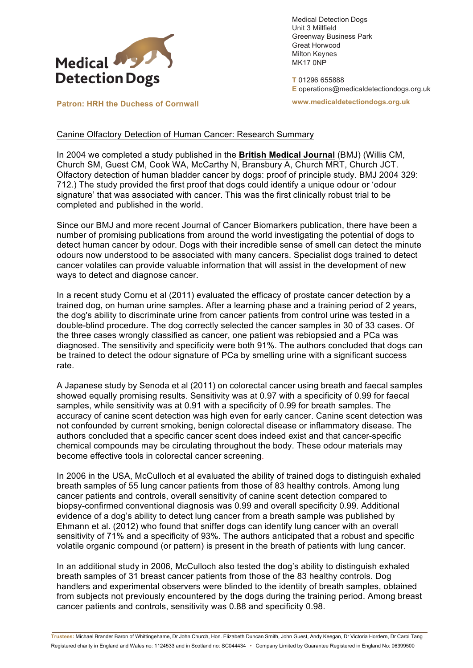

Medical Detection Dogs Unit 3 Millfield Greenway Business Park Great Horwood Milton Keynes MK17 0NP

**T** 01296 655888 **E** operations@medicaldetectiondogs.org.uk

**www.medicaldetectiondogs.org.uk**

**Patron: HRH the Duchess of Cornwall**

Canine Olfactory Detection of Human Cancer: Research Summary

In 2004 we completed a study published in the **British Medical Journal** (BMJ) (Willis CM, Church SM, Guest CM, Cook WA, McCarthy N, Bransbury A, Church MRT, Church JCT. Olfactory detection of human bladder cancer by dogs: proof of principle study. BMJ 2004 329: 712.) The study provided the first proof that dogs could identify a unique odour or 'odour signature' that was associated with cancer. This was the first clinically robust trial to be completed and published in the world.

Since our BMJ and more recent Journal of Cancer Biomarkers publication, there have been a number of promising publications from around the world investigating the potential of dogs to detect human cancer by odour. Dogs with their incredible sense of smell can detect the minute odours now understood to be associated with many cancers. Specialist dogs trained to detect cancer volatiles can provide valuable information that will assist in the development of new ways to detect and diagnose cancer.

In a recent study Cornu et al (2011) evaluated the efficacy of prostate cancer detection by a trained dog, on human urine samples. After a learning phase and a training period of 2 years, the dog's ability to discriminate urine from cancer patients from control urine was tested in a double-blind procedure. The dog correctly selected the cancer samples in 30 of 33 cases. Of the three cases wrongly classified as cancer, one patient was rebiopsied and a PCa was diagnosed. The sensitivity and specificity were both 91%. The authors concluded that dogs can be trained to detect the odour signature of PCa by smelling urine with a significant success rate.

A Japanese study by Senoda et al (2011) on colorectal cancer using breath and faecal samples showed equally promising results. Sensitivity was at 0.97 with a specificity of 0.99 for faecal samples, while sensitivity was at 0.91 with a specificity of 0.99 for breath samples. The accuracy of canine scent detection was high even for early cancer. Canine scent detection was not confounded by current smoking, benign colorectal disease or inflammatory disease. The authors concluded that a specific cancer scent does indeed exist and that cancer-specific chemical compounds may be circulating throughout the body. These odour materials may become effective tools in colorectal cancer screening.

In 2006 in the USA, McCulloch et al evaluated the ability of trained dogs to distinguish exhaled breath samples of 55 lung cancer patients from those of 83 healthy controls. Among lung cancer patients and controls, overall sensitivity of canine scent detection compared to biopsy-confirmed conventional diagnosis was 0.99 and overall specificity 0.99. Additional evidence of a dog's ability to detect lung cancer from a breath sample was published by Ehmann et al. (2012) who found that sniffer dogs can identify lung cancer with an overall sensitivity of 71% and a specificity of 93%. The authors anticipated that a robust and specific volatile organic compound (or pattern) is present in the breath of patients with lung cancer.

In an additional study in 2006, McCulloch also tested the dog's ability to distinguish exhaled breath samples of 31 breast cancer patients from those of the 83 healthy controls. Dog handlers and experimental observers were blinded to the identity of breath samples, obtained from subjects not previously encountered by the dogs during the training period. Among breast cancer patients and controls, sensitivity was 0.88 and specificity 0.98.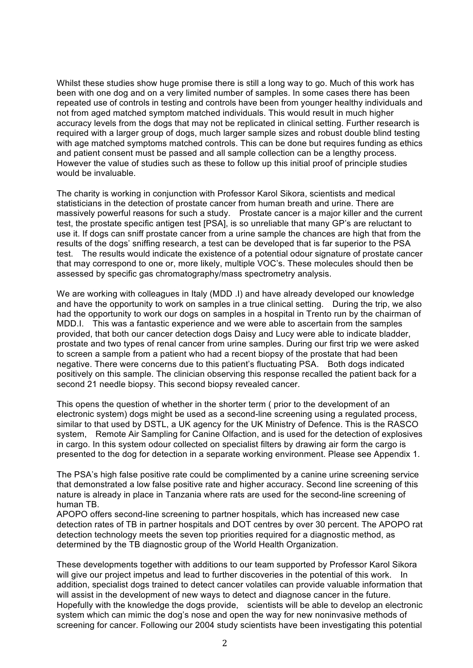Whilst these studies show huge promise there is still a long way to go. Much of this work has been with one dog and on a very limited number of samples. In some cases there has been repeated use of controls in testing and controls have been from younger healthy individuals and not from aged matched symptom matched individuals. This would result in much higher accuracy levels from the dogs that may not be replicated in clinical setting. Further research is required with a larger group of dogs, much larger sample sizes and robust double blind testing with age matched symptoms matched controls. This can be done but requires funding as ethics and patient consent must be passed and all sample collection can be a lengthy process. However the value of studies such as these to follow up this initial proof of principle studies would be invaluable.

The charity is working in conjunction with Professor Karol Sikora, scientists and medical statisticians in the detection of prostate cancer from human breath and urine. There are massively powerful reasons for such a study. Prostate cancer is a major killer and the current test, the prostate specific antigen test [PSA], is so unreliable that many GP's are reluctant to use it. If dogs can sniff prostate cancer from a urine sample the chances are high that from the results of the dogs' sniffing research, a test can be developed that is far superior to the PSA test. The results would indicate the existence of a potential odour signature of prostate cancer that may correspond to one or, more likely, multiple VOC's. These molecules should then be assessed by specific gas chromatography/mass spectrometry analysis.

We are working with colleagues in Italy (MDD .I) and have already developed our knowledge and have the opportunity to work on samples in a true clinical setting. During the trip, we also had the opportunity to work our dogs on samples in a hospital in Trento run by the chairman of MDD.I. This was a fantastic experience and we were able to ascertain from the samples provided, that both our cancer detection dogs Daisy and Lucy were able to indicate bladder, prostate and two types of renal cancer from urine samples. During our first trip we were asked to screen a sample from a patient who had a recent biopsy of the prostate that had been negative. There were concerns due to this patient's fluctuating PSA. Both dogs indicated positively on this sample. The clinician observing this response recalled the patient back for a second 21 needle biopsy. This second biopsy revealed cancer.

This opens the question of whether in the shorter term ( prior to the development of an electronic system) dogs might be used as a second-line screening using a regulated process, similar to that used by DSTL, a UK agency for the UK Ministry of Defence. This is the RASCO system, Remote Air Sampling for Canine Olfaction, and is used for the detection of explosives in cargo. In this system odour collected on specialist filters by drawing air form the cargo is presented to the dog for detection in a separate working environment. Please see Appendix 1.

The PSA's high false positive rate could be complimented by a canine urine screening service that demonstrated a low false positive rate and higher accuracy. Second line screening of this nature is already in place in Tanzania where rats are used for the second-line screening of human TB.

APOPO offers second-line screening to partner hospitals, which has increased new case detection rates of TB in partner hospitals and DOT centres by over 30 percent. The APOPO rat detection technology meets the seven top priorities required for a diagnostic method, as determined by the TB diagnostic group of the World Health Organization.

These developments together with additions to our team supported by Professor Karol Sikora will give our project impetus and lead to further discoveries in the potential of this work. In addition, specialist dogs trained to detect cancer volatiles can provide valuable information that will assist in the development of new ways to detect and diagnose cancer in the future. Hopefully with the knowledge the dogs provide, scientists will be able to develop an electronic system which can mimic the dog's nose and open the way for new noninvasive methods of screening for cancer. Following our 2004 study scientists have been investigating this potential